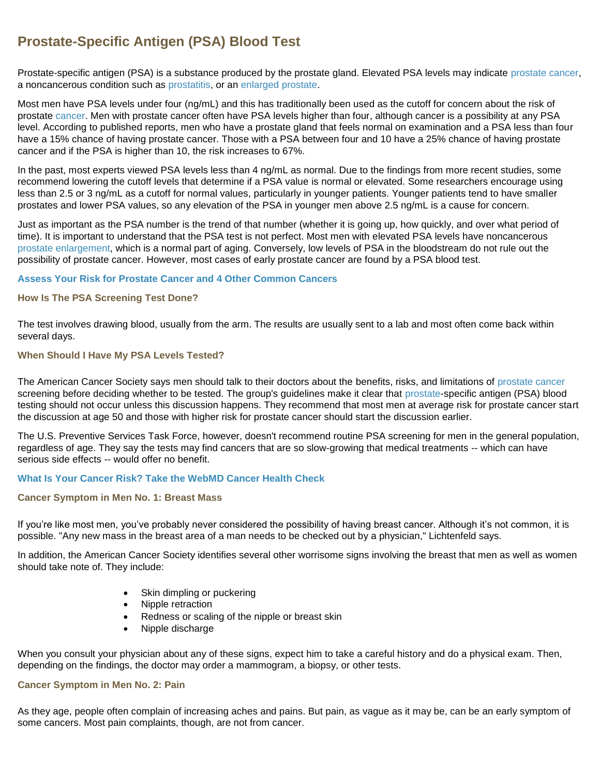# **Prostate-Specific Antigen (PSA) Blood Test**

Prostate-specific antigen (PSA) is a substance produced by the prostate gland. Elevated PSA levels may indicate [prostate cancer,](http://www.webmd.com/prostate-cancer/default.htm) a noncancerous condition such as [prostatitis,](http://men.webmd.com/prostate-enlargement-bph/) or an [enlarged prostate.](http://men.webmd.com/tc/Benign-Prostatic-Hyperplasia-BPH-Topic-Overview)

Most men have PSA levels under four (ng/mL) and this has traditionally been used as the cutoff for concern about the risk of prostate [cancer.](http://www.webmd.com/cancer/) Men with prostate cancer often have PSA levels higher than four, although cancer is a possibility at any PSA level. According to published reports, men who have a prostate gland that feels normal on examination and a PSA less than four have a 15% chance of having prostate cancer. Those with a PSA between four and 10 have a 25% chance of having prostate cancer and if the PSA is higher than 10, the risk increases to 67%.

In the past, most experts viewed PSA levels less than 4 ng/mL as normal. Due to the findings from more recent studies, some recommend lowering the cutoff levels that determine if a PSA value is normal or elevated. Some researchers encourage using less than 2.5 or 3 ng/mL as a cutoff for normal values, particularly in younger patients. Younger patients tend to have smaller prostates and lower PSA values, so any elevation of the PSA in younger men above 2.5 ng/mL is a cause for concern.

Just as important as the PSA number is the trend of that number (whether it is going up, how quickly, and over what period of time). It is important to understand that the PSA test is not perfect. Most men with elevated PSA levels have noncancerous [prostate enlargement,](http://men.webmd.com/prostate-enlargement-bph/) which is a normal part of aging. Conversely, low levels of PSA in the bloodstream do not rule out the possibility of prostate cancer. However, most cases of early prostate cancer are found by a PSA blood test.

#### **[Assess Your Risk for Prostate Cancer and 4 Other Common Cancers](http://www.webmd.com/cancer/health-check-cancer-risk/default.htm)**

### **How Is The PSA Screening Test Done?**

The test involves drawing blood, usually from the arm. The results are usually sent to a lab and most often come back within several days.

### **When Should I Have My PSA Levels Tested?**

The American Cancer Society says men should talk to their doctors about the benefits, risks, and limitations of [prostate cancer](http://www.webmd.com/prostate-cancer/default.htm) screening before deciding whether to be tested. The group's guidelines make it clear that [prostate-](http://men.webmd.com/picture-of-the-prostate)specific antigen (PSA) blood testing should not occur unless this discussion happens. They recommend that most men at average risk for prostate cancer start the discussion at age 50 and those with higher risk for prostate cancer should start the discussion earlier.

The U.S. Preventive Services Task Force, however, doesn't recommend routine PSA screening for men in the general population, regardless of age. They say the tests may find cancers that are so slow-growing that medical treatments -- which can have serious side effects -- would offer no benefit.

#### **[What Is Your Cancer Risk? Take the WebMD Cancer Health Check](http://www.webmd.com/cancer/health-check-cancer-risk/default.htm)**

#### **Cancer Symptom in Men No. 1: Breast Mass**

If you're like most men, you've probably never considered the possibility of having breast cancer. Although it's not common, it is possible. "Any new mass in the breast area of a man needs to be checked out by a physician," Lichtenfeld says.

In addition, the American Cancer Society identifies several other worrisome signs involving the breast that men as well as women should take note of. They include:

- Skin dimpling or puckering
- Nipple retraction
- Redness or scaling of the nipple or breast skin
- Nipple discharge

When you consult your physician about any of these signs, expect him to take a careful history and do a physical exam. Then, depending on the findings, the doctor may order a mammogram, a biopsy, or other tests.

#### **Cancer Symptom in Men No. 2: Pain**

As they age, people often complain of increasing aches and pains. But pain, as vague as it may be, can be an early symptom of some cancers. Most pain complaints, though, are not from cancer.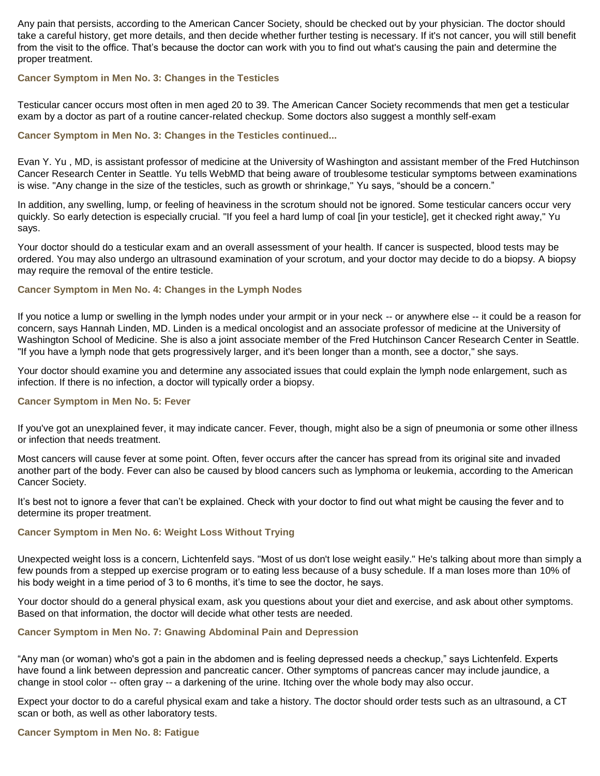Any pain that persists, according to the American Cancer Society, should be checked out by your physician. The doctor should take a careful history, get more details, and then decide whether further testing is necessary. If it's not cancer, you will still benefit from the visit to the office. That's because the doctor can work with you to find out what's causing the pain and determine the proper treatment.

#### **Cancer Symptom in Men No. 3: Changes in the Testicles**

Testicular cancer occurs most often in men aged 20 to 39. The American Cancer Society recommends that men get a testicular exam by a doctor as part of a routine cancer-related checkup. Some doctors also suggest a monthly self-exam

## **Cancer Symptom in Men No. 3: Changes in the Testicles continued...**

Evan Y. Yu , MD, is assistant professor of medicine at the University of Washington and assistant member of the Fred Hutchinson Cancer Research Center in Seattle. Yu tells WebMD that being aware of troublesome testicular symptoms between examinations is wise. "Any change in the size of the testicles, such as growth or shrinkage," Yu says, "should be a concern."

In addition, any swelling, lump, or feeling of heaviness in the scrotum should not be ignored. Some testicular cancers occur very quickly. So early detection is especially crucial. "If you feel a hard lump of coal [in your testicle], get it checked right away," Yu says.

Your doctor should do a testicular exam and an overall assessment of your health. If cancer is suspected, blood tests may be ordered. You may also undergo an ultrasound examination of your scrotum, and your doctor may decide to do a biopsy. A biopsy may require the removal of the entire testicle.

#### **Cancer Symptom in Men No. 4: Changes in the Lymph Nodes**

If you notice a lump or swelling in the lymph nodes under your armpit or in your neck -- or anywhere else -- it could be a reason for concern, says Hannah Linden, MD. Linden is a medical oncologist and an associate professor of medicine at the University of Washington School of Medicine. She is also a joint associate member of the Fred Hutchinson Cancer Research Center in Seattle. "If you have a lymph node that gets progressively larger, and it's been longer than a month, see a doctor," she says.

Your doctor should examine you and determine any associated issues that could explain the lymph node enlargement, such as infection. If there is no infection, a doctor will typically order a biopsy.

## **Cancer Symptom in Men No. 5: Fever**

If you've got an unexplained fever, it may indicate cancer. Fever, though, might also be a sign of pneumonia or some other illness or infection that needs treatment.

Most cancers will cause fever at some point. Often, fever occurs after the cancer has spread from its original site and invaded another part of the body. Fever can also be caused by blood cancers such as lymphoma or leukemia, according to the American Cancer Society.

It's best not to ignore a fever that can't be explained. Check with your doctor to find out what might be causing the fever and to determine its proper treatment.

#### **Cancer Symptom in Men No. 6: Weight Loss Without Trying**

Unexpected weight loss is a concern, Lichtenfeld says. "Most of us don't lose weight easily." He's talking about more than simply a few pounds from a stepped up exercise program or to eating less because of a busy schedule. If a man loses more than 10% of his body weight in a time period of 3 to 6 months, it's time to see the doctor, he says.

Your doctor should do a general physical exam, ask you questions about your diet and exercise, and ask about other symptoms. Based on that information, the doctor will decide what other tests are needed.

#### **Cancer Symptom in Men No. 7: Gnawing Abdominal Pain and Depression**

"Any man (or woman) who's got a pain in the abdomen and is feeling depressed needs a checkup," says Lichtenfeld. Experts have found a link between depression and pancreatic cancer. Other symptoms of pancreas cancer may include jaundice, a change in stool color -- often gray -- a darkening of the urine. Itching over the whole body may also occur.

Expect your doctor to do a careful physical exam and take a history. The doctor should order tests such as an ultrasound, a CT scan or both, as well as other laboratory tests.

#### **Cancer Symptom in Men No. 8: Fatigue**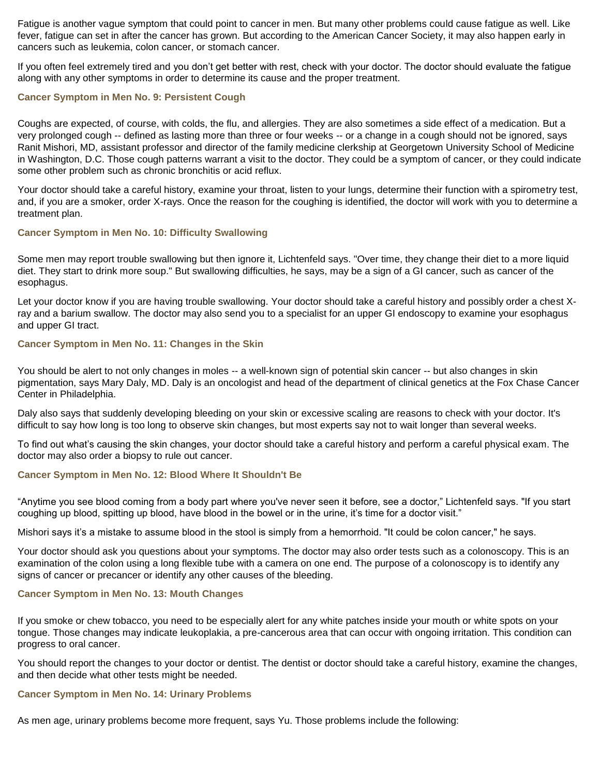Fatigue is another vague symptom that could point to cancer in men. But many other problems could cause fatigue as well. Like fever, fatigue can set in after the cancer has grown. But according to the American Cancer Society, it may also happen early in cancers such as leukemia, colon cancer, or stomach cancer.

If you often feel extremely tired and you don't get better with rest, check with your doctor. The doctor should evaluate the fatigue along with any other symptoms in order to determine its cause and the proper treatment.

#### **Cancer Symptom in Men No. 9: Persistent Cough**

Coughs are expected, of course, with colds, the flu, and allergies. They are also sometimes a side effect of a medication. But a very prolonged cough -- defined as lasting more than three or four weeks -- or a change in a cough should not be ignored, says Ranit Mishori, MD, assistant professor and director of the family medicine clerkship at Georgetown University School of Medicine in Washington, D.C. Those cough patterns warrant a visit to the doctor. They could be a symptom of cancer, or they could indicate some other problem such as chronic bronchitis or acid reflux.

Your doctor should take a careful history, examine your throat, listen to your lungs, determine their function with a spirometry test, and, if you are a smoker, order X-rays. Once the reason for the coughing is identified, the doctor will work with you to determine a treatment plan.

#### **Cancer Symptom in Men No. 10: Difficulty Swallowing**

Some men may report trouble swallowing but then ignore it, Lichtenfeld says. "Over time, they change their diet to a more liquid diet. They start to drink more soup." But swallowing difficulties, he says, may be a sign of a GI cancer, such as cancer of the esophagus.

Let your doctor know if you are having trouble swallowing. Your doctor should take a careful history and possibly order a chest Xray and a barium swallow. The doctor may also send you to a specialist for an upper GI endoscopy to examine your esophagus and upper GI tract.

#### **Cancer Symptom in Men No. 11: Changes in the Skin**

You should be alert to not only changes in moles -- a well-known sign of potential skin cancer -- but also changes in skin pigmentation, says Mary Daly, MD. Daly is an oncologist and head of the department of clinical genetics at the Fox Chase Cancer Center in Philadelphia.

Daly also says that suddenly developing bleeding on your skin or excessive scaling are reasons to check with your doctor. It's difficult to say how long is too long to observe skin changes, but most experts say not to wait longer than several weeks.

To find out what's causing the skin changes, your doctor should take a careful history and perform a careful physical exam. The doctor may also order a biopsy to rule out cancer.

#### **Cancer Symptom in Men No. 12: Blood Where It Shouldn't Be**

"Anytime you see blood coming from a body part where you've never seen it before, see a doctor," Lichtenfeld says. "If you start coughing up blood, spitting up blood, have blood in the bowel or in the urine, it's time for a doctor visit."

Mishori says it's a mistake to assume blood in the stool is simply from a hemorrhoid. "It could be colon cancer," he says.

Your doctor should ask you questions about your symptoms. The doctor may also order tests such as a colonoscopy. This is an examination of the colon using a long flexible tube with a camera on one end. The purpose of a colonoscopy is to identify any signs of cancer or precancer or identify any other causes of the bleeding.

#### **Cancer Symptom in Men No. 13: Mouth Changes**

If you smoke or chew tobacco, you need to be especially alert for any white patches inside your mouth or white spots on your tongue. Those changes may indicate leukoplakia, a pre-cancerous area that can occur with ongoing irritation. This condition can progress to oral cancer.

You should report the changes to your doctor or dentist. The dentist or doctor should take a careful history, examine the changes, and then decide what other tests might be needed.

### **Cancer Symptom in Men No. 14: Urinary Problems**

As men age, urinary problems become more frequent, says Yu. Those problems include the following: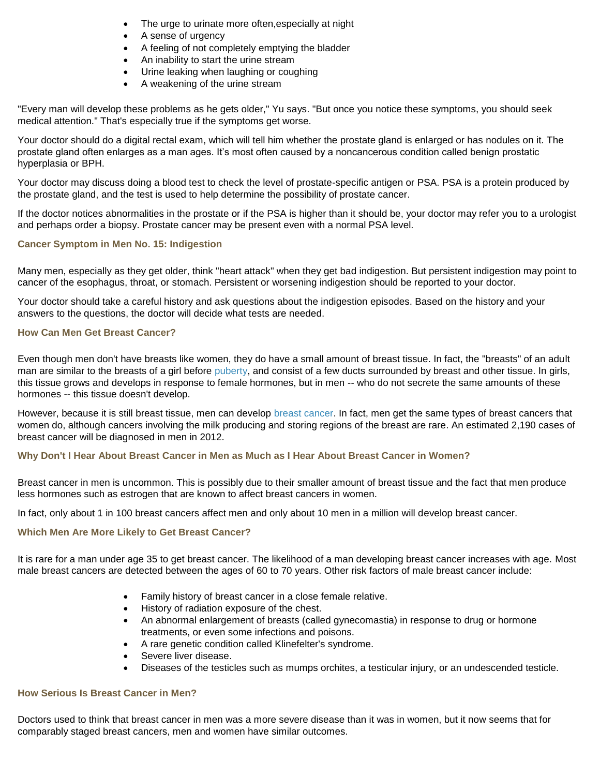- The urge to urinate more often,especially at night
- A sense of urgency
- A feeling of not completely emptying the bladder
- An inability to start the urine stream
- Urine leaking when laughing or coughing
- A weakening of the urine stream

"Every man will develop these problems as he gets older," Yu says. "But once you notice these symptoms, you should seek medical attention." That's especially true if the symptoms get worse.

Your doctor should do a digital rectal exam, which will tell him whether the prostate gland is enlarged or has nodules on it. The prostate gland often enlarges as a man ages. It's most often caused by a noncancerous condition called benign prostatic hyperplasia or BPH.

Your doctor may discuss doing a blood test to check the level of prostate-specific antigen or PSA. PSA is a protein produced by the prostate gland, and the test is used to help determine the possibility of prostate cancer.

If the doctor notices abnormalities in the prostate or if the PSA is higher than it should be, your doctor may refer you to a urologist and perhaps order a biopsy. Prostate cancer may be present even with a normal PSA level.

## **Cancer Symptom in Men No. 15: Indigestion**

Many men, especially as they get older, think "heart attack" when they get bad indigestion. But persistent indigestion may point to cancer of the esophagus, throat, or stomach. Persistent or worsening indigestion should be reported to your doctor.

Your doctor should take a careful history and ask questions about the indigestion episodes. Based on the history and your answers to the questions, the doctor will decide what tests are needed.

### **How Can Men Get Breast Cancer?**

Even though men don't have breasts like women, they do have a small amount of breast tissue. In fact, the "breasts" of an adult man are similar to the breasts of a girl before [puberty,](http://children.webmd.com/tc/growth-and-development-ages-11-to-14-years-what-to-expect) and consist of a few ducts surrounded by breast and other tissue. In girls, this tissue grows and develops in response to female hormones, but in men -- who do not secrete the same amounts of these hormones -- this tissue doesn't develop.

However, because it is still breast tissue, men can develop [breast cancer.](http://www.webmd.com/breast-cancer/) In fact, men get the same types of breast cancers that women do, although cancers involving the milk producing and storing regions of the breast are rare. An estimated 2,190 cases of breast cancer will be diagnosed in men in 2012.

## **Why Don't I Hear About Breast Cancer in Men as Much as I Hear About Breast Cancer in Women?**

Breast cancer in men is uncommon. This is possibly due to their smaller amount of breast tissue and the fact that men produce less hormones such as estrogen that are known to affect breast cancers in women.

In fact, only about 1 in 100 breast cancers affect men and only about 10 men in a million will develop breast cancer.

#### **Which Men Are More Likely to Get Breast Cancer?**

It is rare for a man under age 35 to get breast cancer. The likelihood of a man developing breast cancer increases with age. Most male breast cancers are detected between the ages of 60 to 70 years. Other risk factors of male breast cancer include:

- Family history of breast cancer in a close female relative.
- History of radiation exposure of the chest.
- An abnormal enlargement of breasts (called gynecomastia) in response to drug or hormone treatments, or even some infections and poisons.
- A rare genetic condition called Klinefelter's syndrome.
- Severe liver disease.
- Diseases of the testicles such as mumps orchites, a testicular injury, or an undescended testicle.

#### **How Serious Is Breast Cancer in Men?**

Doctors used to think that breast cancer in men was a more severe disease than it was in women, but it now seems that for comparably staged breast cancers, men and women have similar outcomes.